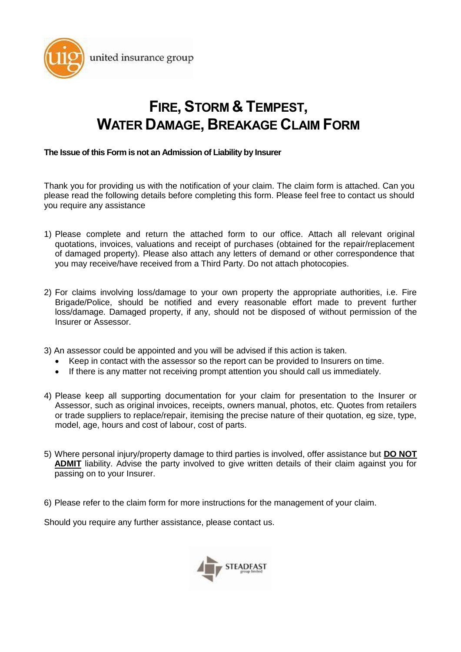

# **FIRE, STORM & TEMPEST, WATER DAMAGE, BREAKAGE CLAIM FORM**

#### **The Issue of this Form is not an Admission of Liability by Insurer**

Thank you for providing us with the notification of your claim. The claim form is attached. Can you please read the following details before completing this form. Please feel free to contact us should you require any assistance

- 1) Please complete and return the attached form to our office. Attach all relevant original quotations, invoices, valuations and receipt of purchases (obtained for the repair/replacement of damaged property). Please also attach any letters of demand or other correspondence that you may receive/have received from a Third Party. Do not attach photocopies.
- 2) For claims involving loss/damage to your own property the appropriate authorities, i.e. Fire Brigade/Police, should be notified and every reasonable effort made to prevent further loss/damage. Damaged property, if any, should not be disposed of without permission of the Insurer or Assessor.
- 3) An assessor could be appointed and you will be advised if this action is taken.
	- Keep in contact with the assessor so the report can be provided to Insurers on time.
	- If there is any matter not receiving prompt attention you should call us immediately.
- 4) Please keep all supporting documentation for your claim for presentation to the Insurer or Assessor, such as original invoices, receipts, owners manual, photos, etc. Quotes from retailers or trade suppliers to replace/repair, itemising the precise nature of their quotation, eg size, type, model, age, hours and cost of labour, cost of parts.
- 5) Where personal injury/property damage to third parties is involved, offer assistance but **DO NOT ADMIT** liability. Advise the party involved to give written details of their claim against you for passing on to your Insurer.

6) Please refer to the claim form for more instructions for the management of your claim.

Should you require any further assistance, please contact us.

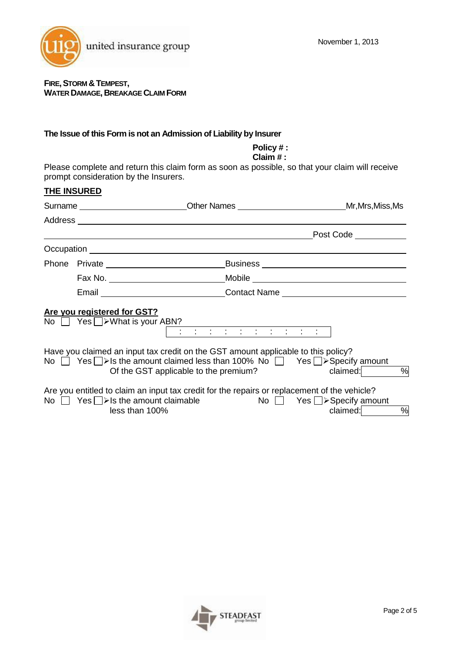

## **FIRE,STORM &TEMPEST, WATER DAMAGE, BREAKAGE CLAIM FORM**

## **The Issue of this Form is not an Admission of Liability by Insurer**

| Policy#:<br>Claim $#$ :<br>Please complete and return this claim form as soon as possible, so that your claim will receive<br>prompt consideration by the Insurers. |                             |                                                                                                                                                                                                                               |                                                                                                                       |  |
|---------------------------------------------------------------------------------------------------------------------------------------------------------------------|-----------------------------|-------------------------------------------------------------------------------------------------------------------------------------------------------------------------------------------------------------------------------|-----------------------------------------------------------------------------------------------------------------------|--|
|                                                                                                                                                                     | <b>THE INSURED</b>          |                                                                                                                                                                                                                               |                                                                                                                       |  |
|                                                                                                                                                                     |                             |                                                                                                                                                                                                                               | Surname ___________________________Other Names ______________________________Mr,Mrs,Miss,Ms                           |  |
|                                                                                                                                                                     |                             |                                                                                                                                                                                                                               |                                                                                                                       |  |
|                                                                                                                                                                     |                             |                                                                                                                                                                                                                               |                                                                                                                       |  |
|                                                                                                                                                                     |                             | Occupation experience and the contract of the contract of the contract of the contract of the contract of the contract of the contract of the contract of the contract of the contract of the contract of the contract of the |                                                                                                                       |  |
|                                                                                                                                                                     |                             |                                                                                                                                                                                                                               | Phone Private 11 Phone Private 2014 11:00 Phone Private 2014 12:00 Phone Private 2014                                 |  |
|                                                                                                                                                                     |                             |                                                                                                                                                                                                                               |                                                                                                                       |  |
|                                                                                                                                                                     |                             |                                                                                                                                                                                                                               | Email _________________________________Contact Name ____________________________                                      |  |
|                                                                                                                                                                     | Are you registered for GST? | No $\Box$ Yes $\Box$ > What is your ABN?                                                                                                                                                                                      |                                                                                                                       |  |
|                                                                                                                                                                     |                             | Have you claimed an input tax credit on the GST amount applicable to this policy?<br>Of the GST applicable to the premium?                                                                                                    | No $\Box$ Yes $\Box$ > Is the amount claimed less than 100% No $\Box$ Yes $\Box$ > Specify amount<br>$\%$<br>claimed: |  |
|                                                                                                                                                                     |                             | Are you entitled to claim an input tax credit for the repairs or replacement of the vehicle?<br>No $\Box$ Yes $\Box$ > Is the amount claimable<br>less than 100%                                                              | No $\Box$ Yes $\Box$ > Specify amount<br>%<br>claimed:                                                                |  |

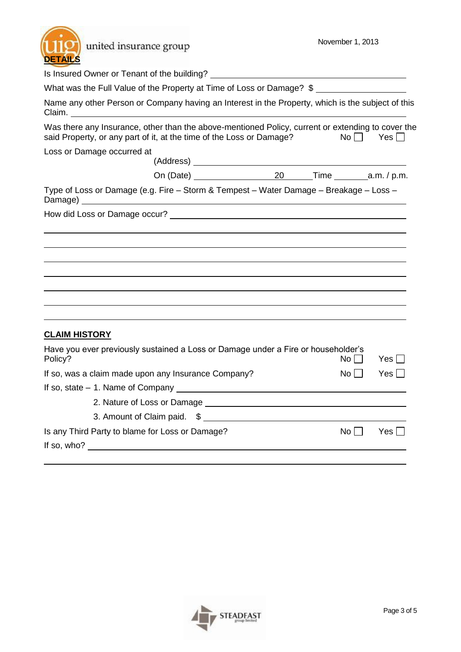| united insurance group<br><b>DETAILS</b>                                                                                                                                  | November 1, 2013        |  |
|---------------------------------------------------------------------------------------------------------------------------------------------------------------------------|-------------------------|--|
|                                                                                                                                                                           |                         |  |
| What was the Full Value of the Property at Time of Loss or Damage? \$                                                                                                     |                         |  |
| Name any other Person or Company having an Interest in the Property, which is the subject of this<br>Claim.                                                               |                         |  |
| Was there any Insurance, other than the above-mentioned Policy, current or extending to cover the<br>said Property, or any part of it, at the time of the Loss or Damage? | No<br>$Yes$ $\Box$      |  |
| Loss or Damage occurred at                                                                                                                                                |                         |  |
|                                                                                                                                                                           |                         |  |
|                                                                                                                                                                           |                         |  |
| Type of Loss or Damage (e.g. Fire - Storm & Tempest - Water Damage - Breakage - Loss -                                                                                    |                         |  |
|                                                                                                                                                                           |                         |  |
|                                                                                                                                                                           |                         |  |
| <b>CLAIM HISTORY</b>                                                                                                                                                      |                         |  |
| Have you ever previously sustained a Loss or Damage under a Fire or householder's<br>Policy?                                                                              | $No$    <br>$Yes$       |  |
| If so, was a claim made upon any Insurance Company?                                                                                                                       | No<br>Yes $\Box$        |  |
|                                                                                                                                                                           |                         |  |
|                                                                                                                                                                           |                         |  |
| 3. Amount of Claim paid. \$                                                                                                                                               |                         |  |
| Is any Third Party to blame for Loss or Damage?                                                                                                                           | $No \Box$<br>Yes $\Box$ |  |
| If so, who? $\qquad \qquad$                                                                                                                                               |                         |  |

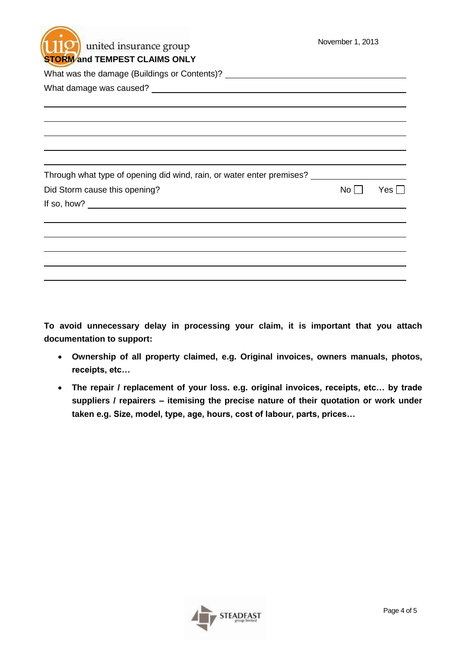| united insurance group<br><b>STORM and TEMPEST CLAIMS ONLY</b>                          | November 1, 2013 |            |
|-----------------------------------------------------------------------------------------|------------------|------------|
| What was the damage (Buildings or Contents)? ___________________________________        |                  |            |
|                                                                                         |                  |            |
|                                                                                         |                  |            |
|                                                                                         |                  |            |
|                                                                                         |                  |            |
| Through what type of opening did wind, rain, or water enter premises? _________________ |                  |            |
| Did Storm cause this opening?                                                           | No               | $Yes \Box$ |
| If so, how? $\qquad \qquad$                                                             |                  |            |
|                                                                                         |                  |            |
|                                                                                         |                  |            |
|                                                                                         |                  |            |
|                                                                                         |                  |            |

**To avoid unnecessary delay in processing your claim, it is important that you attach documentation to support:**

- **Ownership of all property claimed, e.g. Original invoices, owners manuals, photos, receipts, etc…**
- **The repair / replacement of your loss. e.g. original invoices, receipts, etc… by trade suppliers / repairers – itemising the precise nature of their quotation or work under taken e.g. Size, model, type, age, hours, cost of labour, parts, prices…**